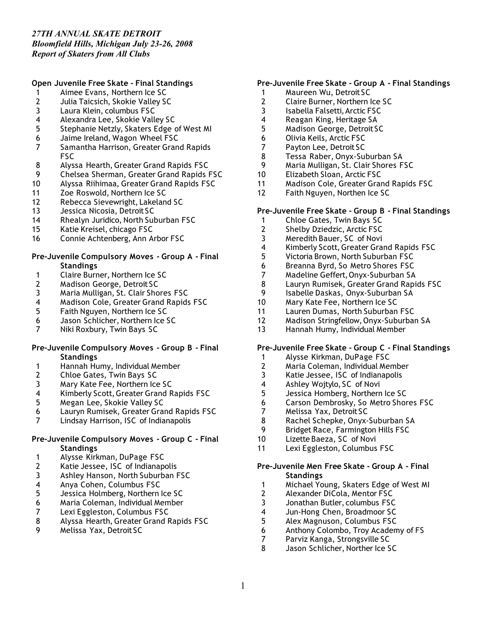### **Open Juvenile Free Skate - Final Standings**

- Aimee Evans, Northern Ice SC
- 2 Julia Taicsich, Skokie Valley SC<br>3 Laura Klein, columbus FSC
- Laura Klein, columbus FSC
- Alexandra Lee, Skokie Valley SC
- Stephanie Netzly, Skaters Edge of West MI
- Jaime Ireland, Wagon Wheel FSC
- Samantha Harrison, Greater Grand Rapids FSC
- 8 Alyssa Hearth, Greater Grand Rapids FSC<br>9 Chelsea Sherman, Greater Grand Rapids I
- Chelsea Sherman, Greater Grand Rapids FSC
- Alyssa Riihimaa, Greater Grand Rapids FSC
- Zoe Roswold, Northern Ice SC
- Rebecca Sievewright, Lakeland SC
- Jessica Nicosia, Detroit SC
- Rhealyn Juridico, North Suburban FSC
- Katie Kreisel, chicago FSC
- Connie Achtenberg, Ann Arbor FSC

### **Pre-Juvenile Compulsory Moves - Group A - Final Standings**

- 1 Claire Burner, Northern Ice SC<br>2 Madison George, Detroit SC
- Madison George, Detroit SC
- 
- Maria Mulligan, St. Clair Shores FSC 4 Madison Cole, Greater Grand Rapids FSC<br>5 Faith Nguyen, Northern Ice SC
- Faith Nguyen, Northern Ice SC
- Jason Schlicher, Northern Ice SC
- Niki Roxbury, Twin Bays SC

### **Pre-Juvenile Compulsory Moves - Group B - Final Standings**

- Hannah Humy, Individual Member
- 2 Chloe Gates, Twin Bays SC<br>3 Mary Kate Fee, Northern Ice
- 3 Mary Kate Fee, Northern Ice SC<br>4 Kimberly Scott, Greater Grand R
- Kimberly Scott, Greater Grand Rapids FSC
- Megan Lee, Skokie Valley SC
- Lauryn Rumisek, Greater Grand Rapids FSC
- Lindsay Harrison, ISC of Indianapolis

### **Pre-Juvenile Compulsory Moves - Group C - Final Standings**

- 1 Alysse Kirkman, DuPage FSC<br>2 Katie Jessee, ISC of Indianap
- Katie Jessee, ISC of Indianapolis
- Ashley Hanson, North Suburban FSC
- 4 Anya Cohen, Columbus FSC<br>5 Jessica Holmberg, Northern
- 5 Jessica Holmberg, Northern Ice SC<br>6 Maria Coleman, Individual Member
- Maria Coleman, Individual Member
- 7 Lexi Eggleston, Columbus FSC<br>8 Alyssa Hearth, Greater Grand F
- Alyssa Hearth, Greater Grand Rapids FSC
- Melissa Yax, Detroit SC

### **Pre-Juvenile Free Skate - Group A - Final Standings**

- Maureen Wu, Detroit SC
- 2 Claire Burner, Northern Ice SC<br>3 Isabella Falsetti, Arctic FSC
- Isabella Falsetti, Arctic FSC
- Reagan King, Heritage SA
- Madison George, Detroit SC
- Olivia Keils, Arctic FSC
- Payton Lee, Detroit SC
- Tessa Raber, Onyx-Suburban SA
- 9 Maria Mulligan, St. Clair Shores FSC<br>10 Flizabeth Sloan, Arctic FSC
- Elizabeth Sloan, Arctic FSC
- Madison Cole, Greater Grand Rapids FSC
- Faith Nguyen, Northen Ice SC

### **Pre-Juvenile Free Skate - Group B - Final Standings**

- Chloe Gates, Twin Bays SC
- Shelby Dziedzic, Arctic FSC
- Meredith Bauer, SC of Novi
- Kimberly Scott, Greater Grand Rapids FSC
- Victoria Brown, North Suburban FSC
- Breanna Byrd, So Metro Shores FSC
- 
- Madeline Geffert, Onyx-Suburban SA Lauryn Rumisek, Greater Grand Rapids FSC
- Isabelle Daskas, Onyx-Suburban SA
- Mary Kate Fee, Northern Ice SC
- Lauren Dumas, North Suburban FSC
- Madison Stringfellow, Onyx-Suburban SA
- Hannah Humy, Individual Member

### **Pre-Juvenile Free Skate - Group C - Final Standings**

- 1 Alysse Kirkman, DuPage FSC<br>2 Maria Coleman, Individual Me
- Maria Coleman, Individual Member
- 3 Katie Jessee, ISC of Indianapolis<br>4 Ashlev Woitvlo, SC of Novi
- 4 Ashley Wojtylo, SC of Novi<br>5 Jessica Homberg, Northern
- Jessica Homberg, Northern Ice SC
- Carson Dembrosky, So Metro Shores FSC
- Melissa Yax, Detroit SC
- Rachel Schepke, Onyx-Suburban SA
- Bridget Race, Farmington Hills FSC
- Lizette Baeza, SC of Novi
- Lexi Eggleston, Columbus FSC

### **Pre-Juvenile Men Free Skate - Group A - Final Standings**

- 1 Michael Young, Skaters Edge of West MI<br>2 Alexander DiCola, Mentor FSC
- Alexander DiCola, Mentor FSC
- Jonathan Butler, columbus FSC
- Jun-Hong Chen, Broadmoor SC
- Alex Magnuson, Columbus FSC
- Anthony Colombo, Troy Academy of FS
- Parviz Kanga, Strongsville SC
- Jason Schlicher, Norther Ice SC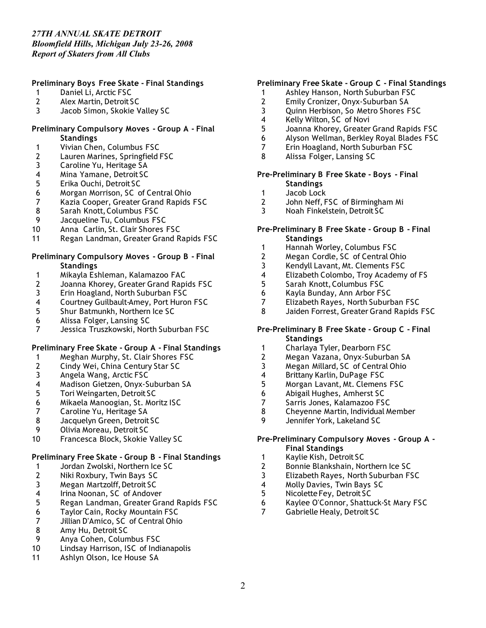*Report of Skaters from All Clubs*

# **Preliminary Boys Free Skate - Final Standings**

- 1 Daniel Li, Arctic FSC
- 2 Alex Martin, Detroit SC
- 3 Jacob Simon, Skokie Valley SC

## **Preliminary Compulsory Moves - Group A - Final Standings**

- 1 Vivian Chen, Columbus FSC
- 2 Lauren Marines, Springfield FSC<br>3 Caroline Yu. Heritage SA
- 3 Caroline Yu, Heritage SA<br>4 Mina Yamane, Detroit SC
- 4 Mina Yamane, Detroit SC<br>5 Erika Ouchi, Detroit SC
- 5 Erika Ouchi, Detroit SC
- 6 Morgan Morrison, SC of Central Ohio
- 7 Kazia Cooper, Greater Grand Rapids FSC
- 8 Sarah Knott, Columbus FSC
- 9 Jacqueline Tu, Columbus FSC
- 10 Anna Carlin, St. Clair Shores FSC
- 11 Regan Landman, Greater Grand Rapids FSC

# **Preliminary Compulsory Moves - Group B - Final Standings**

- 1 Mikayla Eshleman, Kalamazoo FAC
- 2 Joanna Khorey, Greater Grand Rapids FSC
- 3 Erin Hoagland, North Suburban FSC<br>4 Courtney Guilbault-Amey. Port Huror
- 4 Courtney Guilbault-Amey, Port Huron FSC<br>5 Shur Batmunkh, Northern Ice SC
- 5 Shur Batmunkh, Northern Ice SC
- 6 Alissa Folger, Lansing SC
- 7 Jessica Truszkowski, North Suburban FSC

# **Preliminary Free Skate - Group A - Final Standings**

- 1 Meghan Murphy, St. Clair Shores FSC<br>2 Cindy Wei, China Century Star SC
- 2 Cindy Wei, China Century Star SC
- 3 Angela Wang, Arctic FSC<br>4 Madison Gietzen, Onyx-S
- 4 Madison Gietzen, Onyx-Suburban SA<br>5 Tori Weingarten, Detroit SC
- 5 Tori Weingarten, Detroit SC
- 6 Mikaela Manoogian, St. Moritz ISC
- 7 Caroline Yu, Heritage SA<br>8 Jacquelyn Green, Detroit
- Jacquelyn Green, Detroit SC
- 9 Olivia Moreau, Detroit SC
- 10 Francesca Block, Skokie Valley SC

# **Preliminary Free Skate - Group B - Final Standings**

- 1 Jordan Zwolski, Northern Ice SC<br>2 Niki Roxbury, Twin Bays SC
- 2 Niki Roxbury, Twin Bays SC
- 3 Megan Martzolff, Detroit SC<br>4 Irina Noonan, SC of Andove
- 4 Irina Noonan, SC of Andover<br>5 Regan Landman, Greater Gra
- 5 Regan Landman, Greater Grand Rapids FSC
- 6 Taylor Cain, Rocky Mountain FSC
- Jillian D'Amico, SC of Central Ohio
- 8 Amy Hu, Detroit SC
- 9 Anya Cohen, Columbus FSC
- 10 Lindsay Harrison, ISC of Indianapolis
- 11 Ashlyn Olson, Ice House SA

# **Preliminary Free Skate - Group C - Final Standings**

- 1 Ashley Hanson, North Suburban FSC
- 2 Emily Cronizer, Onyx-Suburban SA<br>3 Ouinn Herbison, So Metro Shores F
- 3 Quinn Herbison, So Metro Shores FSC
- 4 Kelly Wilton, SC of Novi
- 5 Joanna Khorey, Greater Grand Rapids FSC
- 6 Alyson Wellman, Berkley Royal Blades FSC
- 7 Erin Hoagland, North Suburban FSC
- 8 Alissa Folger, Lansing SC

### **Pre-Preliminary B Free Skate - Boys - Final Standings**

- 1 Jacob Lock
- 2 John Neff, FSC of Birmingham Mi
- 3 Noah Finkelstein, Detroit SC

# **Pre-Preliminary B Free Skate - Group B - Final Standings**

- 1 Hannah Worley, Columbus FSC
- 2 Megan Cordle, SC of Central Ohio
- 3 Kendyll Lavant, Mt. Clements FSC
- 4 Elizabeth Colombo, Troy Academy of FS<br>5 Sarah Knott. Columbus FSC
- 5 Sarah Knott, Columbus FSC
- 6 Kayla Bunday, Ann Arbor FSC
- 7 Elizabeth Rayes, North Suburban FSC
- Jaiden Forrest, Greater Grand Rapids FSC

# **Pre-Preliminary B Free Skate - Group C - Final Standings**

- 1 Charlaya Tyler, Dearborn FSC
- 2 Megan Vazana, Onyx-Suburban SA<br>3 Megan Millard. SC of Central Ohio
- Megan Millard, SC of Central Ohio
- 4 Brittany Karlin, DuPage FSC<br>5 Morgan Lavant, Mt. Clemens
- 5 Morgan Lavant, Mt. Clemens FSC
- 6 Abigail Hughes, Amherst SC
- 7 Sarris Jones, Kalamazoo FSC<br>8 Chevenne Martin, Individual M
- 8 Cheyenne Martin, Individual Member
- 9 Jennifer York, Lakeland SC

## **Pre-Preliminary Compulsory Moves - Group A - Final Standings**

- 1 Kaylie Kish, Detroit SC<br>2 Bonnie Blankshain, No
- 2 Bonnie Blankshain, Northern Ice SC
- 3 Elizabeth Rayes, North Suburban FSC
- 4 Molly Davies, Twin Bays SC<br>5 Nicolette Fev. Detroit SC
- 5 Nicolette Fey, Detroit SC
- 6 Kaylee O'Connor, Shattuck-St Mary FSC
- 7 Gabrielle Healy, Detroit SC